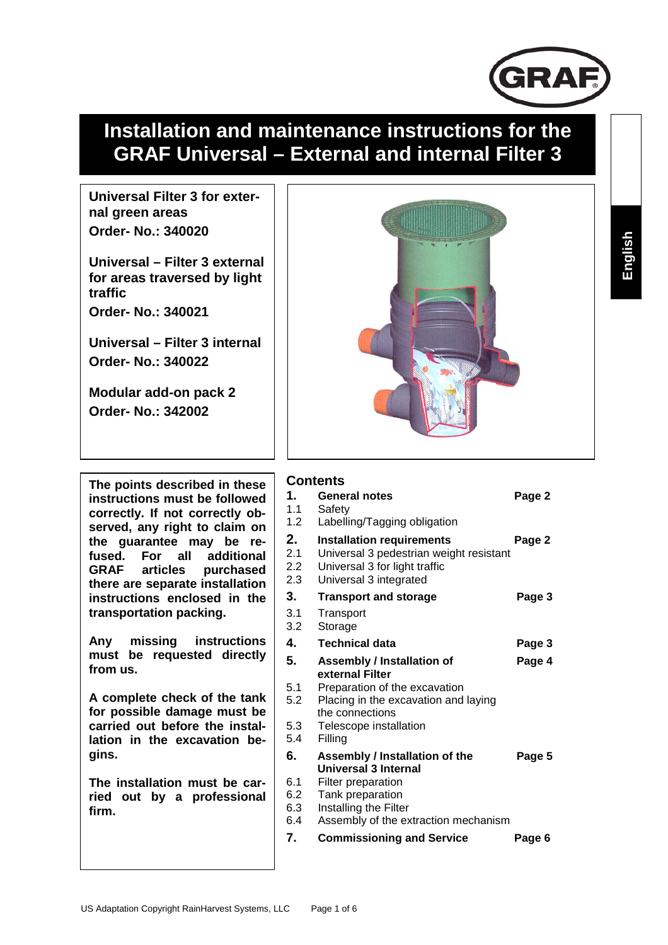

# **Installation and maintenance instructions for the GRAF Universal – External and internal Filter 3**

**Universal Filter 3 for external green areas Order- No.: 340020** 

**Universal – Filter 3 external for areas traversed by light traffic** 

**Order- No.: 340021** 

**Universal – Filter 3 internal Order- No.: 340022** 

**Modular add-on pack 2 Order- No.: 342002** 

**The points described in these instructions must be followed correctly. If not correctly observed, any right to claim on the guarantee may be refused. For all additional GRAF articles purchased there are separate installation instructions enclosed in the transportation packing.** 

**Any missing instructions must be requested directly from us.** 

**A complete check of the tank for possible damage must be carried out before the installation in the excavation begins.** 

**The installation must be carried out by a professional firm.** 



#### **Contents**

| 1.<br>1.1<br>1.2         | <b>General notes</b><br>Safety<br>Labelling/Tagging obligation                                                                         | Page 2 |
|--------------------------|----------------------------------------------------------------------------------------------------------------------------------------|--------|
| 2.<br>2.1<br>2.2<br>2.3  | <b>Installation requirements</b><br>Universal 3 pedestrian weight resistant<br>Universal 3 for light traffic<br>Universal 3 integrated | Page 2 |
| 3.                       | <b>Transport and storage</b>                                                                                                           | Page 3 |
| 3.1<br>3.2               | Transport<br>Storage                                                                                                                   |        |
| 4.                       | <b>Technical data</b>                                                                                                                  | Page 3 |
| 5.                       | <b>Assembly / Installation of</b><br>external Filter                                                                                   | Page 4 |
| 5.1<br>5.2               | Preparation of the excavation<br>Placing in the excavation and laying<br>the connections                                               |        |
| 5.3<br>5.4               | Telescope installation<br>Filling                                                                                                      |        |
| 6.                       | Assembly / Installation of the<br>Universal 3 Internal                                                                                 | Page 5 |
| 6.1<br>6.2<br>6.3<br>6.4 | Filter preparation<br>Tank preparation<br>Installing the Filter<br>Assembly of the extraction mechanism                                |        |
| 7.                       | <b>Commissioning and Service</b>                                                                                                       | Page 6 |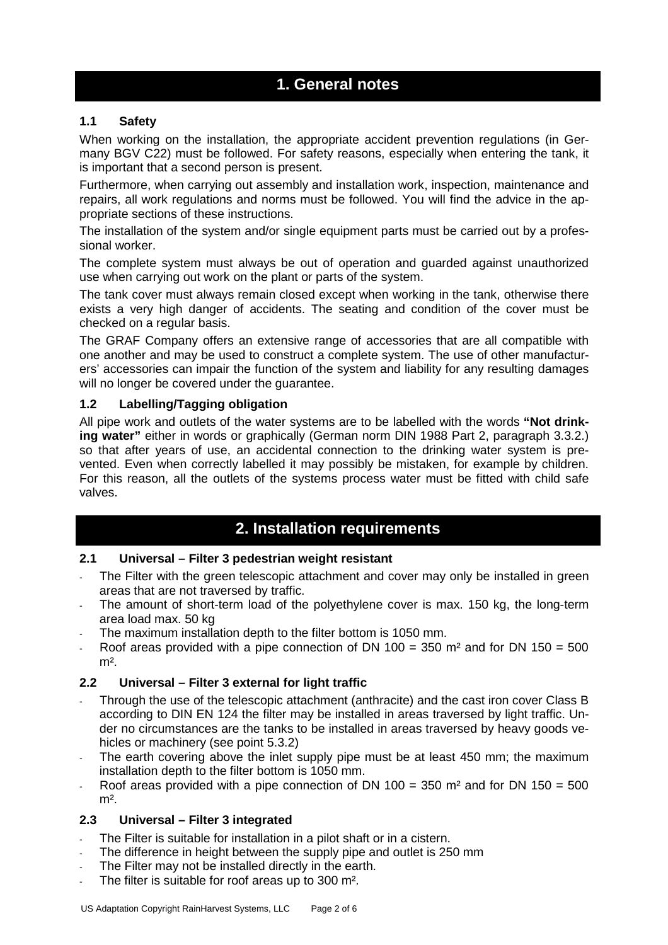## **1. General notes**

#### **1.1 Safety**

When working on the installation, the appropriate accident prevention regulations (in Germany BGV C22) must be followed. For safety reasons, especially when entering the tank, it is important that a second person is present.

Furthermore, when carrying out assembly and installation work, inspection, maintenance and repairs, all work regulations and norms must be followed. You will find the advice in the appropriate sections of these instructions.

The installation of the system and/or single equipment parts must be carried out by a professional worker.

The complete system must always be out of operation and guarded against unauthorized use when carrying out work on the plant or parts of the system.

The tank cover must always remain closed except when working in the tank, otherwise there exists a very high danger of accidents. The seating and condition of the cover must be checked on a regular basis.

The GRAF Company offers an extensive range of accessories that are all compatible with one another and may be used to construct a complete system. The use of other manufacturers' accessories can impair the function of the system and liability for any resulting damages will no longer be covered under the guarantee.

#### **1.2 Labelling/Tagging obligation**

All pipe work and outlets of the water systems are to be labelled with the words **"Not drinking water"** either in words or graphically (German norm DIN 1988 Part 2, paragraph 3.3.2.) so that after years of use, an accidental connection to the drinking water system is prevented. Even when correctly labelled it may possibly be mistaken, for example by children. For this reason, all the outlets of the systems process water must be fitted with child safe valves.

## **2. Installation requirements**

#### **2.1 Universal – Filter 3 pedestrian weight resistant**

- The Filter with the green telescopic attachment and cover may only be installed in green areas that are not traversed by traffic.
- The amount of short-term load of the polyethylene cover is max. 150 kg, the long-term area load max. 50 kg
- The maximum installation depth to the filter bottom is 1050 mm.
- Roof areas provided with a pipe connection of DN 100 = 350  $m<sup>2</sup>$  and for DN 150 = 500  $m<sup>2</sup>$ .

#### **2.2 Universal – Filter 3 external for light traffic**

- Through the use of the telescopic attachment (anthracite) and the cast iron cover Class B according to DIN EN 124 the filter may be installed in areas traversed by light traffic. Under no circumstances are the tanks to be installed in areas traversed by heavy goods vehicles or machinery (see point 5.3.2)
- The earth covering above the inlet supply pipe must be at least 450 mm; the maximum installation depth to the filter bottom is 1050 mm.
- Roof areas provided with a pipe connection of DN 100 = 350  $m<sup>2</sup>$  and for DN 150 = 500  $m<sup>2</sup>$ .

#### **2.3 Universal – Filter 3 integrated**

- The Filter is suitable for installation in a pilot shaft or in a cistern.
- The difference in height between the supply pipe and outlet is 250 mm
- The Filter may not be installed directly in the earth.
- The filter is suitable for roof areas up to 300 m<sup>2</sup>.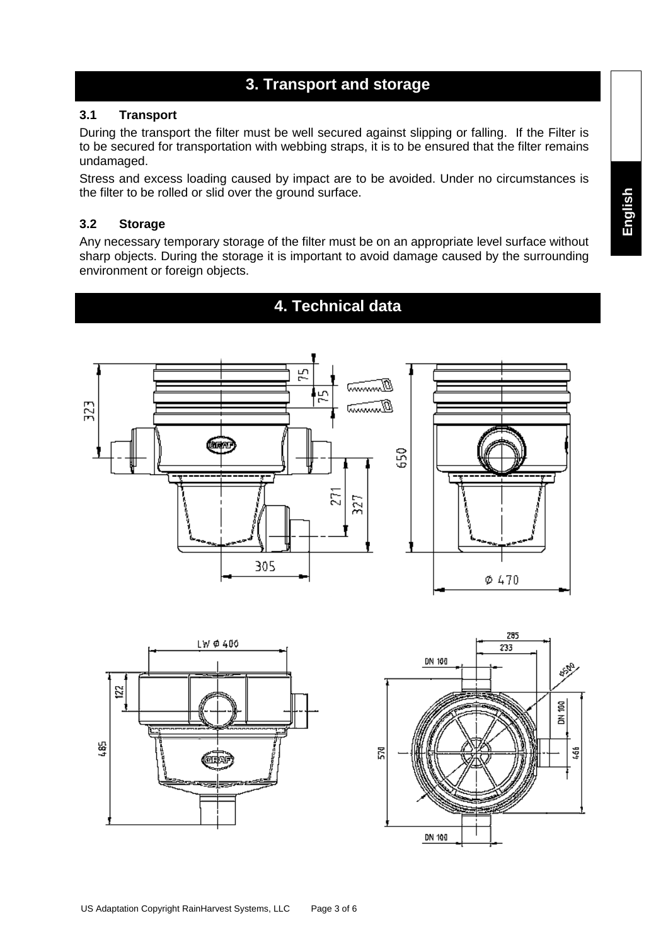## **3. Transport and storage**

#### **3.1 Transport**

During the transport the filter must be well secured against slipping or falling. If the Filter is to be secured for transportation with webbing straps, it is to be ensured that the filter remains undamaged.

Stress and excess loading caused by impact are to be avoided. Under no circumstances is the filter to be rolled or slid over the ground surface.

#### **3.2 Storage**

Any necessary temporary storage of the filter must be on an appropriate level surface without sharp objects. During the storage it is important to avoid damage caused by the surrounding environment or foreign objects.





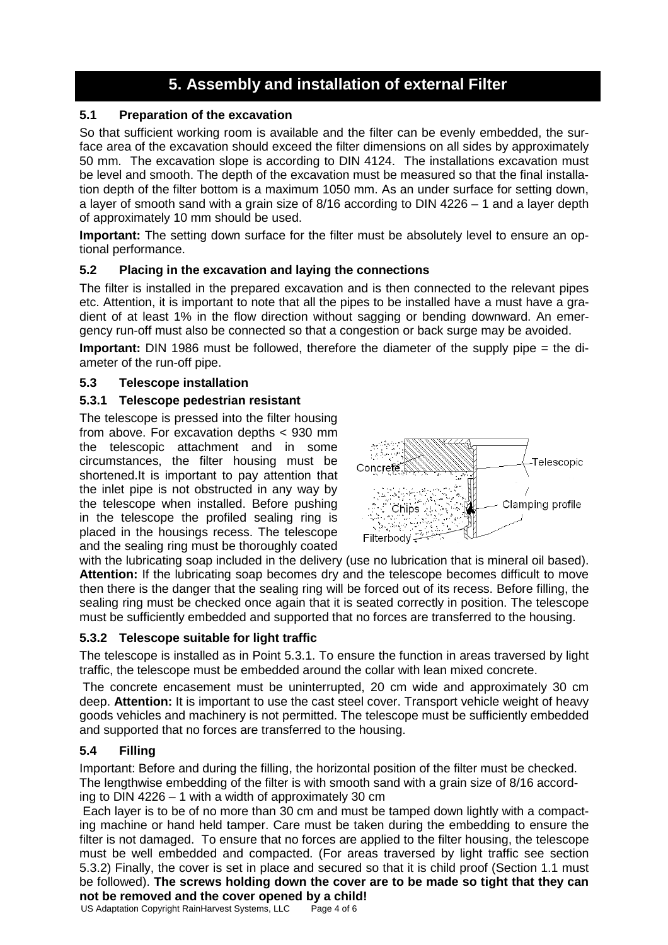## **5. Assembly and installation of external Filter**

### **5.1 Preparation of the excavation**

So that sufficient working room is available and the filter can be evenly embedded, the surface area of the excavation should exceed the filter dimensions on all sides by approximately 50 mm. The excavation slope is according to DIN 4124. The installations excavation must be level and smooth. The depth of the excavation must be measured so that the final installation depth of the filter bottom is a maximum 1050 mm. As an under surface for setting down, a layer of smooth sand with a grain size of 8/16 according to DIN 4226 – 1 and a layer depth of approximately 10 mm should be used.

**Important:** The setting down surface for the filter must be absolutely level to ensure an optional performance.

#### **5.2 Placing in the excavation and laying the connections**

The filter is installed in the prepared excavation and is then connected to the relevant pipes etc. Attention, it is important to note that all the pipes to be installed have a must have a gradient of at least 1% in the flow direction without sagging or bending downward. An emergency run-off must also be connected so that a congestion or back surge may be avoided.

**Important:** DIN 1986 must be followed, therefore the diameter of the supply pipe = the diameter of the run-off pipe.

#### **5.3 Telescope installation**

#### **5.3.1 Telescope pedestrian resistant**

The telescope is pressed into the filter housing from above. For excavation depths < 930 mm the telescopic attachment and in some circumstances, the filter housing must be shortened.It is important to pay attention that the inlet pipe is not obstructed in any way by the telescope when installed. Before pushing in the telescope the profiled sealing ring is placed in the housings recess. The telescope and the sealing ring must be thoroughly coated



with the lubricating soap included in the delivery (use no lubrication that is mineral oil based). **Attention:** If the lubricating soap becomes dry and the telescope becomes difficult to move then there is the danger that the sealing ring will be forced out of its recess. Before filling, the sealing ring must be checked once again that it is seated correctly in position. The telescope must be sufficiently embedded and supported that no forces are transferred to the housing.

#### **5.3.2 Telescope suitable for light traffic**

The telescope is installed as in Point 5.3.1. To ensure the function in areas traversed by light traffic, the telescope must be embedded around the collar with lean mixed concrete.

 The concrete encasement must be uninterrupted, 20 cm wide and approximately 30 cm deep. **Attention:** It is important to use the cast steel cover. Transport vehicle weight of heavy goods vehicles and machinery is not permitted. The telescope must be sufficiently embedded and supported that no forces are transferred to the housing.

#### **5.4 Filling**

Important: Before and during the filling, the horizontal position of the filter must be checked. The lengthwise embedding of the filter is with smooth sand with a grain size of 8/16 according to DIN 4226 – 1 with a width of approximately 30 cm

 Each layer is to be of no more than 30 cm and must be tamped down lightly with a compacting machine or hand held tamper. Care must be taken during the embedding to ensure the filter is not damaged. To ensure that no forces are applied to the filter housing, the telescope must be well embedded and compacted. (For areas traversed by light traffic see section 5.3.2) Finally, the cover is set in place and secured so that it is child proof (Section 1.1 must be followed). **The screws holding down the cover are to be made so tight that they can not be removed and the cover opened by a child!** 

```
US Adaptation Copyright RainHarvest Systems, LLC Page 4 of 6
```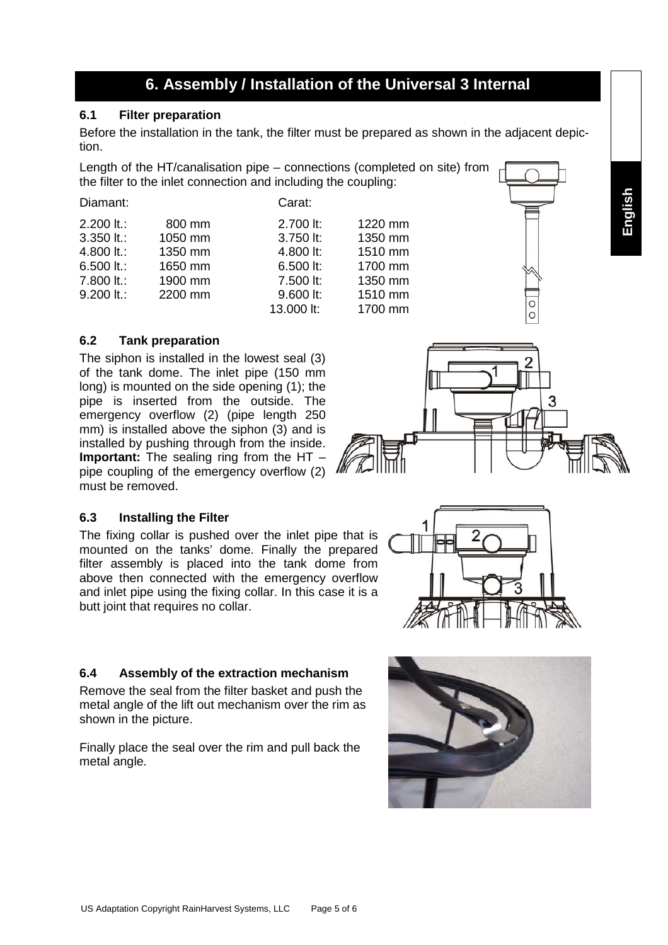## **6. Assembly / Installation of the Universal 3 Internal**

#### **6.1 Filter preparation**

Before the installation in the tank, the filter must be prepared as shown in the adjacent depiction.

Length of the HT/canalisation pipe – connections (completed on site) from the filter to the inlet connection and including the coupling:

| Diamant:     |         | Carat:     |         |  |
|--------------|---------|------------|---------|--|
| $2.200$ lt.: | 800 mm  | 2.700 lt:  | 1220 mm |  |
| $3.350$ It.: | 1050 mm | 3.750 lt:  | 1350 mm |  |
| 4.800 lt.:   | 1350 mm | 4.800 lt:  | 1510 mm |  |
| 6.500 lt.:   | 1650 mm | 6.500 lt:  | 1700 mm |  |
| 7.800 lt.:   | 1900 mm | 7.500 lt:  | 1350 mm |  |
| $9.200$ It.: | 2200 mm | 9.600 lt:  | 1510 mm |  |
|              |         | 13.000 lt: | 1700 mm |  |
|              |         |            |         |  |

#### **6.2 Tank preparation**

The siphon is installed in the lowest seal (3) of the tank dome. The inlet pipe (150 mm long) is mounted on the side opening (1); the pipe is inserted from the outside. The emergency overflow (2) (pipe length 250 mm) is installed above the siphon  $(3)$  and is installed by pushing through from the inside. **Important:** The sealing ring from the HT – pipe coupling of the emergency overflow (2) must be removed.

#### **6.3 Installing the Filter**

The fixing collar is pushed over the inlet pipe that is mounted on the tanks' dome. Finally the prepared filter assembly is placed into the tank dome from above then connected with the emergency overflow and inlet pipe using the fixing collar. In this case it is a butt joint that requires no collar.

#### **6.4 Assembly of the extraction mechanism**

Remove the seal from the filter basket and push the metal angle of the lift out mechanism over the rim as shown in the picture.

Finally place the seal over the rim and pull back the metal angle.